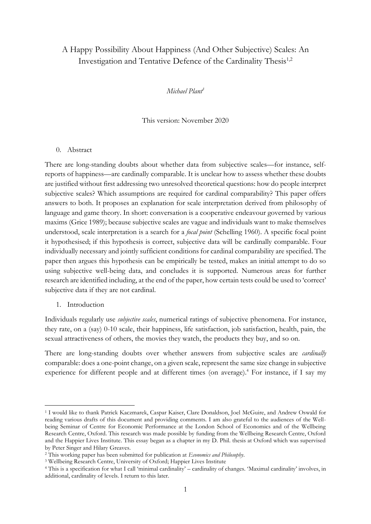# A Happy Possibility About Happiness (And Other Subjective) Scales: An Investigation and Tentative Defence of the Cardinality Thesis<sup>1,2</sup>

*Michael Plant<sup>3</sup>*

This version: November 2020

#### 0. Abstract

There are long-standing doubts about whether data from subjective scales—for instance, selfreports of happiness—are cardinally comparable. It is unclear how to assess whether these doubts are justified without first addressing two unresolved theoretical questions: how do people interpret subjective scales? Which assumptions are required for cardinal comparability? This paper offers answers to both. It proposes an explanation for scale interpretation derived from philosophy of language and game theory. In short: conversation is a cooperative endeavour governed by various maxims (Grice 1989); because subjective scales are vague and individuals want to make themselves understood, scale interpretation is a search for a *focal point* (Schelling 1960). A specific focal point it hypothesised; if this hypothesis is correct, subjective data will be cardinally comparable. Four individually necessary and jointly sufficient conditions for cardinal comparability are specified. The paper then argues this hypothesis can be empirically be tested, makes an initial attempt to do so using subjective well-being data, and concludes it is supported. Numerous areas for further research are identified including, at the end of the paper, how certain tests could be used to 'correct' subjective data if they are not cardinal.

1. Introduction

Individuals regularly use *subjective scales*, numerical ratings of subjective phenomena. For instance, they rate, on a (say) 0-10 scale, their happiness, life satisfaction, job satisfaction, health, pain, the sexual attractiveness of others, the movies they watch, the products they buy, and so on.

There are long-standing doubts over whether answers from subjective scales are *cardinally* comparable: does a one-point change, on a given scale, represent the same size change in subjective experience for different people and at different times (on average).<sup>4</sup> For instance, if I say my

<sup>1</sup> I would like to thank Patrick Kaczmarek, Caspar Kaiser, Clare Donaldson, Joel McGuire, and Andrew Oswald for reading various drafts of this document and providing comments. I am also grateful to the audiences of the Wellbeing Seminar of Centre for Economic Performance at the London School of Economics and of the Wellbeing Research Centre, Oxford. This research was made possible by funding from the Wellbeing Research Centre, Oxford and the Happier Lives Institute. This essay began as a chapter in my D. Phil. thesis at Oxford which was supervised by Peter Singer and Hilary Greaves.

<sup>2</sup> This working paper has been submitted for publication at *Economics and Philosophy*.

<sup>&</sup>lt;sup>3</sup> Wellbeing Research Centre, University of Oxford; Happier Lives Institute

<sup>4</sup> This is a specification for what I call 'minimal cardinality' – cardinality of changes. 'Maximal cardinality' involves, in additional, cardinality of levels. I return to this later.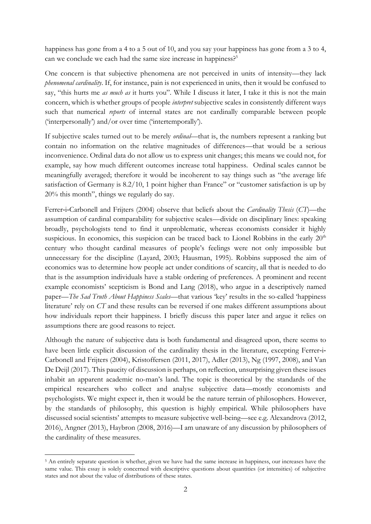happiness has gone from a 4 to a 5 out of 10, and you say your happiness has gone from a 3 to 4, can we conclude we each had the same size increase in happiness?<sup>5</sup>

One concern is that subjective phenomena are not perceived in units of intensity—they lack *phenomenal cardinality*. If, for instance, pain is not experienced in units, then it would be confused to say, "this hurts me *as much as* it hurts you". While I discuss it later, I take it this is not the main concern, which is whether groups of people *interpret* subjective scales in consistently different ways such that numerical *reports* of internal states are not cardinally comparable between people ('interpersonally') and/or over time ('intertemporally').

If subjective scales turned out to be merely *ordinal*—that is, the numbers represent a ranking but contain no information on the relative magnitudes of differences—that would be a serious inconvenience. Ordinal data do not allow us to express unit changes; this means we could not, for example, say how much different outcomes increase total happiness. Ordinal scales cannot be meaningfully averaged; therefore it would be incoherent to say things such as "the average life satisfaction of Germany is 8.2/10, 1 point higher than France" or "customer satisfaction is up by 20% this month", things we regularly do say.

Ferrer‐i‐Carbonell and Frijters (2004) observe that beliefs about the *Cardinality Thesis* (*CT*)—the assumption of cardinal comparability for subjective scales—divide on disciplinary lines: speaking broadly, psychologists tend to find it unproblematic, whereas economists consider it highly suspicious. In economics, this suspicion can be traced back to Lionel Robbins in the early  $20<sup>th</sup>$ century who thought cardinal measures of people's feelings were not only impossible but unnecessary for the discipline (Layard, 2003; Hausman, 1995). Robbins supposed the aim of economics was to determine how people act under conditions of scarcity, all that is needed to do that is the assumption individuals have a stable ordering of preferences. A prominent and recent example economists' scepticism is Bond and Lang (2018), who argue in a descriptively named paper—*The Sad Truth About Happiness Scales*—that various 'key' results in the so-called 'happiness literature' rely on *CT* and these results can be reversed if one makes different assumptions about how individuals report their happiness. I briefly discuss this paper later and argue it relies on assumptions there are good reasons to reject.

Although the nature of subjective data is both fundamental and disagreed upon, there seems to have been little explicit discussion of the cardinality thesis in the literature, excepting Ferrer-i-Carbonell and Frijters (2004), Kristoffersen (2011, 2017), Adler (2013), Ng (1997, 2008), and Van De Deijl (2017). This paucity of discussion is perhaps, on reflection, unsurprising given these issues inhabit an apparent academic no-man's land. The topic is theoretical by the standards of the empirical researchers who collect and analyse subjective data—mostly economists and psychologists. We might expect it, then it would be the nature terrain of philosophers. However, by the standards of philosophy, this question is highly empirical. While philosophers have discussed social scientists' attempts to measure subjective well-being—see e.g. Alexandrova (2012, 2016), Angner (2013), Haybron (2008, 2016)—I am unaware of any discussion by philosophers of the cardinality of these measures.

<sup>5</sup> An entirely separate question is whether, given we have had the same increase in happiness, our increases have the same value. This essay is solely concerned with descriptive questions about quantities (or intensities) of subjective states and not about the value of distributions of these states.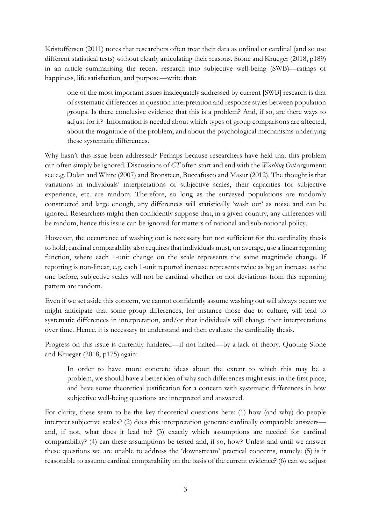Kristoffersen (2011) notes that researchers often treat their data as ordinal or cardinal (and so use different statistical tests) without clearly articulating their reasons. Stone and Krueger (2018, p189) in an article summarising the recent research into subjective well-being (SWB)—ratings of happiness, life satisfaction, and purpose—write that:

one of the most important issues inadequately addressed by current [SWB] research is that of systematic differences in question interpretation and response styles between population groups. Is there conclusive evidence that this is a problem? And, if so, are there ways to adjust for it? Information is needed about which types of group comparisons are affected, about the magnitude of the problem, and about the psychological mechanisms underlying these systematic differences.

Why hasn't this issue been addressed? Perhaps because researchers have held that this problem can often simply be ignored. Discussions of *CT* often start and end with the *Washing Out* argument: see e.g. Dolan and White (2007) and Bronsteen, Buccafusco and Masur (2012). The thought is that variations in individuals' interpretations of subjective scales, their capacities for subjective experience, etc. are random. Therefore, so long as the surveyed populations are randomly constructed and large enough, any differences will statistically 'wash out' as noise and can be ignored. Researchers might then confidently suppose that, in a given country, any differences will be random, hence this issue can be ignored for matters of national and sub-national policy.

However, the occurrence of washing out is necessary but not sufficient for the cardinality thesis to hold; cardinal comparability also requires that individuals must, on average, use a linear reporting function, where each 1-unit change on the scale represents the same magnitude change. If reporting is non-linear, e.g. each 1-unit reported increase represents twice as big an increase as the one before, subjective scales will not be cardinal whether or not deviations from this reporting pattern are random.

Even if we set aside this concern, we cannot confidently assume washing out will always occur: we might anticipate that some group differences, for instance those due to culture, will lead to systematic differences in interpretation, and/or that individuals will change their interpretations over time. Hence, it is necessary to understand and then evaluate the cardinality thesis.

Progress on this issue is currently hindered—if not halted—by a lack of theory. Quoting Stone and Krueger (2018, p175) again:

In order to have more concrete ideas about the extent to which this may be a problem, we should have a better idea of why such differences might exist in the first place, and have some theoretical justification for a concern with systematic differences in how subjective well-being questions are interpreted and answered.

For clarity, these seem to be the key theoretical questions here: (1) how (and why) do people interpret subjective scales? (2) does this interpretation generate cardinally comparable answers and, if not, what does it lead to? (3) exactly which assumptions are needed for cardinal comparability? (4) can these assumptions be tested and, if so, how? Unless and until we answer these questions we are unable to address the 'downstream' practical concerns, namely: (5) is it reasonable to assume cardinal comparability on the basis of the current evidence? (6) can we adjust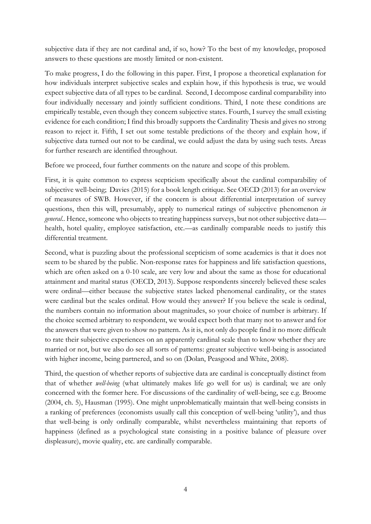subjective data if they are not cardinal and, if so, how? To the best of my knowledge, proposed answers to these questions are mostly limited or non-existent.

To make progress, I do the following in this paper. First, I propose a theoretical explanation for how individuals interpret subjective scales and explain how, if this hypothesis is true, we would expect subjective data of all types to be cardinal. Second, I decompose cardinal comparability into four individually necessary and jointly sufficient conditions. Third, I note these conditions are empirically testable, even though they concern subjective states. Fourth, I survey the small existing evidence for each condition; I find this broadly supports the Cardinality Thesis and gives no strong reason to reject it. Fifth, I set out some testable predictions of the theory and explain how, if subjective data turned out not to be cardinal, we could adjust the data by using such tests. Areas for further research are identified throughout.

Before we proceed, four further comments on the nature and scope of this problem.

First, it is quite common to express scepticism specifically about the cardinal comparability of subjective well-being; Davies (2015) for a book length critique. See OECD (2013) for an overview of measures of SWB. However, if the concern is about differential interpretation of survey questions, then this will, presumably, apply to numerical ratings of subjective phenomenon *in general*.. Hence, someone who objects to treating happiness surveys, but not other subjective data health, hotel quality, employee satisfaction, etc.—as cardinally comparable needs to justify this differential treatment.

Second, what is puzzling about the professional scepticism of some academics is that it does not seem to be shared by the public. Non-response rates for happiness and life satisfaction questions, which are often asked on a 0-10 scale, are very low and about the same as those for educational attainment and marital status (OECD, 2013). Suppose respondents sincerely believed these scales were ordinal—either because the subjective states lacked phenomenal cardinality, or the states were cardinal but the scales ordinal. How would they answer? If you believe the scale is ordinal, the numbers contain no information about magnitudes, so your choice of number is arbitrary. If the choice seemed arbitrary to respondent, we would expect both that many not to answer and for the answers that were given to show no pattern. As it is, not only do people find it no more difficult to rate their subjective experiences on an apparently cardinal scale than to know whether they are married or not, but we also do see all sorts of patterns: greater subjective well-being is associated with higher income, being partnered, and so on (Dolan, Peasgood and White, 2008).

Third, the question of whether reports of subjective data are cardinal is conceptually distinct from that of whether *well-being* (what ultimately makes life go well for us) is cardinal; we are only concerned with the former here. For discussions of the cardinality of well-being, see e.g. Broome (2004, ch. 5), Hausman (1995). One might unproblematically maintain that well-being consists in a ranking of preferences (economists usually call this conception of well-being 'utility'), and thus that well-being is only ordinally comparable, whilst nevertheless maintaining that reports of happiness (defined as a psychological state consisting in a positive balance of pleasure over displeasure), movie quality, etc. are cardinally comparable.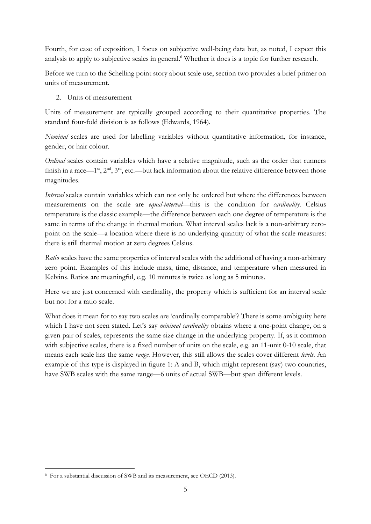Fourth, for ease of exposition, I focus on subjective well-being data but, as noted, I expect this analysis to apply to subjective scales in general. <sup>6</sup> Whether it does is a topic for further research.

Before we turn to the Schelling point story about scale use, section two provides a brief primer on units of measurement.

2. Units of measurement

Units of measurement are typically grouped according to their quantitative properties. The standard four-fold division is as follows (Edwards, 1964).

*Nominal* scales are used for labelling variables without quantitative information, for instance, gender, or hair colour.

*Ordinal* scales contain variables which have a relative magnitude, such as the order that runners finish in a race—1<sup>st</sup>, 2<sup>nd</sup>, 3<sup>rd</sup>, etc.—but lack information about the relative difference between those magnitudes.

*Interval* scales contain variables which can not only be ordered but where the differences between measurements on the scale are *equal-interval*—this is the condition for *cardinality*. Celsius temperature is the classic example—the difference between each one degree of temperature is the same in terms of the change in thermal motion. What interval scales lack is a non-arbitrary zeropoint on the scale—a location where there is no underlying quantity of what the scale measures: there is still thermal motion at zero degrees Celsius.

*Ratio* scales have the same properties of interval scales with the additional of having a non-arbitrary zero point. Examples of this include mass, time, distance, and temperature when measured in Kelvins. Ratios are meaningful, e.g. 10 minutes is twice as long as 5 minutes.

Here we are just concerned with cardinality, the property which is sufficient for an interval scale but not for a ratio scale.

What does it mean for to say two scales are 'cardinally comparable'? There is some ambiguity here which I have not seen stated. Let's say *minimal cardinality* obtains where a one-point change, on a given pair of scales, represents the same size change in the underlying property. If, as it common with subjective scales, there is a fixed number of units on the scale, e.g. an 11-unit 0-10 scale, that means each scale has the same *range*. However, this still allows the scales cover different *levels*. An example of this type is displayed in figure 1: A and B, which might represent (say) two countries, have SWB scales with the same range—6 units of actual SWB—but span different levels.

<sup>6</sup> For a substantial discussion of SWB and its measurement, see OECD (2013).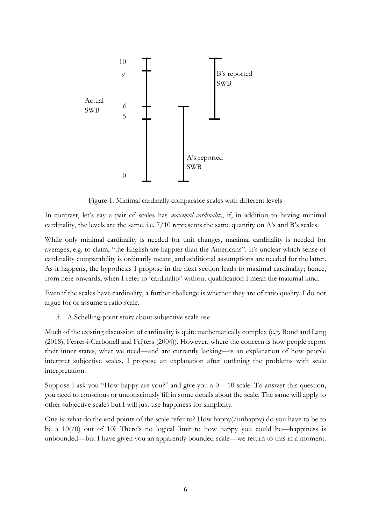

Figure 1. Minimal cardinally comparable scales with different levels

In contrast, let's say a pair of scales has *maximal cardinality*, if, in addition to having minimal cardinality, the levels are the same, i.e. 7/10 represents the same quantity on A's and B's scales.

While only minimal cardinality is needed for unit changes, maximal cardinality is needed for averages, e.g. to claim, "the English are happier than the Americans". It's unclear which sense of cardinality comparability is ordinarily meant, and additional assumptions are needed for the latter. As it happens, the hypothesis I propose in the next section leads to maximal cardinality; hence, from here onwards, when I refer to 'cardinality' without qualification I mean the maximal kind.

Even if the scales have cardinality, a further challenge is whether they are of ratio quality. I do not argue for or assume a ratio scale.

*3.* A Schelling-point story about subjective scale use

Much of the existing discussion of cardinality is quite mathematically complex (e.g. Bond and Lang (2018), Ferrer-i-Carbonell and Frijters (2004)). However, where the concern is how people report their inner states, what we need—and are currently lacking—is an explanation of how people interpret subjective scales. I propose an explanation after outlining the problems with scale interpretation.

Suppose I ask you "How happy are you?" and give you a  $0 - 10$  scale. To answer this question, you need to conscious or unconsciously fill in some details about the scale. The same will apply to other subjective scales but I will just use happiness for simplicity.

One is: what do the end points of the scale refer to? How happy(/unhappy) do you have to be to be a  $10/(0)$  out of 10? There's no logical limit to how happy you could be—happiness is unbounded—but I have given you an apparently bounded scale—we return to this in a moment.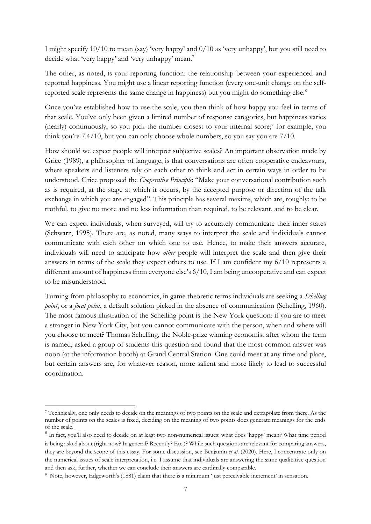I might specify 10/10 to mean (say) 'very happy' and 0/10 as 'very unhappy', but you still need to decide what 'very happy' and 'very unhappy' mean.<sup>7</sup>

The other, as noted, is your reporting function: the relationship between your experienced and reported happiness. You might use a linear reporting function (every one-unit change on the selfreported scale represents the same change in happiness) but you might do something else.<sup>8</sup>

Once you've established how to use the scale, you then think of how happy you feel in terms of that scale. You've only been given a limited number of response categories, but happiness varies (nearly) continuously, so you pick the number closest to your internal score;<sup>9</sup> for example, you think you're 7.4/10, but you can only choose whole numbers, so you say you are 7/10.

How should we expect people will interpret subjective scales? An important observation made by Grice (1989), a philosopher of language, is that conversations are often cooperative endeavours, where speakers and listeners rely on each other to think and act in certain ways in order to be understood. Grice proposed the *Cooperative Principle*: "Make your conversational contribution such as is required, at the stage at which it occurs, by the accepted purpose or direction of the talk exchange in which you are engaged". This principle has several maxims, which are, roughly: to be truthful, to give no more and no less information than required, to be relevant, and to be clear.

We can expect individuals, when surveyed, will try to accurately communicate their inner states (Schwarz, 1995). There are, as noted, many ways to interpret the scale and individuals cannot communicate with each other on which one to use. Hence, to make their answers accurate, individuals will need to anticipate how *other* people will interpret the scale and then give their answers in terms of the scale they expect others to use. If I am confident my 6/10 represents a different amount of happiness from everyone else's 6/10, I am being uncooperative and can expect to be misunderstood.

Turning from philosophy to economics, in game theoretic terms individuals are seeking a *Schelling point*, or a *focal point*, a default solution picked in the absence of communication (Schelling, 1960). The most famous illustration of the Schelling point is the New York question: if you are to meet a stranger in New York City, but you cannot communicate with the person, when and where will you choose to meet? Thomas Schelling, the Noble-prize winning economist after whom the term is named, asked a group of students this question and found that the most common answer was noon (at the information booth) at Grand Central Station. One could meet at any time and place, but certain answers are, for whatever reason, more salient and more likely to lead to successful coordination.

<sup>7</sup> Technically, one only needs to decide on the meanings of two points on the scale and extrapolate from there. As the number of points on the scales is fixed, deciding on the meaning of two points does generate meanings for the ends of the scale.

<sup>&</sup>lt;sup>8</sup> In fact, you'll also need to decide on at least two non-numerical issues: what does 'happy' mean? What time period is being asked about (right now? In general? Recently? Etc.)? While such questions are relevant for comparing answers, they are beyond the scope of this essay. For some discussion, see Benjamin *et al.* (2020). Here, I concentrate only on the numerical issues of scale interpretation, i.e. I assume that individuals are answering the same qualitative question and then ask, further, whether we can conclude their answers are cardinally comparable.

<sup>9</sup> Note, however, Edgeworth's (1881) claim that there is a minimum 'just perceivable increment' in sensation.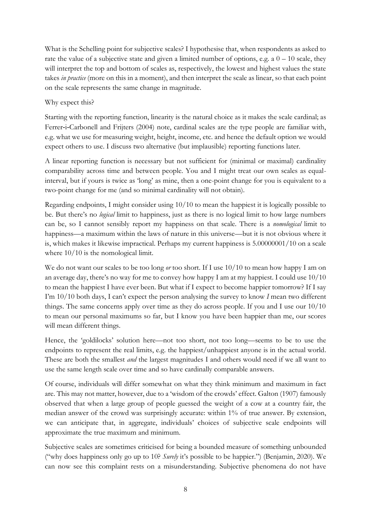What is the Schelling point for subjective scales? I hypothesise that, when respondents as asked to rate the value of a subjective state and given a limited number of options, e.g.  $a\theta - 10$  scale, they will interpret the top and bottom of scales as, respectively, the lowest and highest values the state takes *in practice* (more on this in a moment), and then interpret the scale as linear, so that each point on the scale represents the same change in magnitude.

## Why expect this?

Starting with the reporting function, linearity is the natural choice as it makes the scale cardinal; as Ferrer-i-Carbonell and Frijters (2004) note, cardinal scales are the type people are familiar with, e.g. what we use for measuring weight, height, income, etc. and hence the default option we would expect others to use. I discuss two alternative (but implausible) reporting functions later.

A linear reporting function is necessary but not sufficient for (minimal or maximal) cardinality comparability across time and between people. You and I might treat our own scales as equalinterval, but if yours is twice as 'long' as mine, then a one-point change for you is equivalent to a two-point change for me (and so minimal cardinality will not obtain).

Regarding endpoints, I might consider using 10/10 to mean the happiest it is logically possible to be. But there's no *logical* limit to happiness, just as there is no logical limit to how large numbers can be, so I cannot sensibly report my happiness on that scale. There is a *nomological* limit to happiness—a maximum within the laws of nature in this universe—but it is not obvious where it is, which makes it likewise impractical. Perhaps my current happiness is 5.00000001/10 on a scale where  $10/10$  is the nomological limit.

We do not want our scales to be too long *or* too short. If I use 10/10 to mean how happy I am on an average day, there's no way for me to convey how happy I am at my happiest. I could use 10/10 to mean the happiest I have ever been. But what if I expect to become happier tomorrow? If I say I'm 10/10 both days, I can't expect the person analysing the survey to know *I* mean two different things. The same concerns apply over time as they do across people. If you and I use our 10/10 to mean our personal maximums so far, but I know you have been happier than me, our scores will mean different things.

Hence, the 'goldilocks' solution here—not too short, not too long—seems to be to use the endpoints to represent the real limits, e.g. the happiest/unhappiest anyone is in the actual world. These are both the smallest *and* the largest magnitudes I and others would need if we all want to use the same length scale over time and so have cardinally comparable answers.

Of course, individuals will differ somewhat on what they think minimum and maximum in fact are. This may not matter, however, due to a 'wisdom of the crowds' effect. Galton (1907) famously observed that when a large group of people guessed the weight of a cow at a country fair, the median answer of the crowd was surprisingly accurate: within 1% of true answer. By extension, we can anticipate that, in aggregate, individuals' choices of subjective scale endpoints will approximate the true maximum and minimum.

Subjective scales are sometimes criticised for being a bounded measure of something unbounded ("why does happiness only go up to 10? *Surely* it's possible to be happier.") (Benjamin, 2020). We can now see this complaint rests on a misunderstanding. Subjective phenomena do not have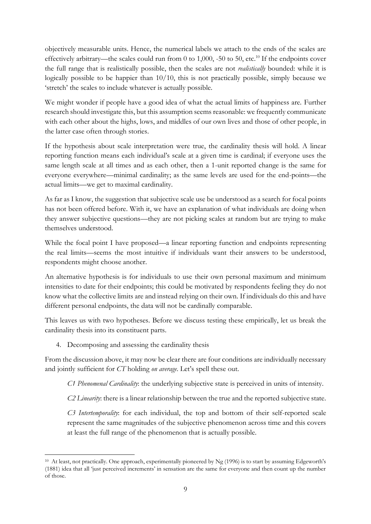objectively measurable units. Hence, the numerical labels we attach to the ends of the scales are effectively arbitrary—the scales could run from 0 to 1,000, -50 to 50, etc.<sup>10</sup> If the endpoints cover the full range that is realistically possible, then the scales are not *realistically* bounded: while it is logically possible to be happier than 10/10, this is not practically possible, simply because we 'stretch' the scales to include whatever is actually possible.

We might wonder if people have a good idea of what the actual limits of happiness are. Further research should investigate this, but this assumption seems reasonable: we frequently communicate with each other about the highs, lows, and middles of our own lives and those of other people, in the latter case often through stories.

If the hypothesis about scale interpretation were true, the cardinality thesis will hold. A linear reporting function means each individual's scale at a given time is cardinal; if everyone uses the same length scale at all times and as each other, then a 1-unit reported change is the same for everyone everywhere—minimal cardinality; as the same levels are used for the end-points—the actual limits—we get to maximal cardinality.

As far as I know, the suggestion that subjective scale use be understood as a search for focal points has not been offered before. With it, we have an explanation of what individuals are doing when they answer subjective questions—they are not picking scales at random but are trying to make themselves understood.

While the focal point I have proposed—a linear reporting function and endpoints representing the real limits—seems the most intuitive if individuals want their answers to be understood, respondents might choose another.

An alternative hypothesis is for individuals to use their own personal maximum and minimum intensities to date for their endpoints; this could be motivated by respondents feeling they do not know what the collective limits are and instead relying on their own. If individuals do this and have different personal endpoints, the data will not be cardinally comparable.

This leaves us with two hypotheses. Before we discuss testing these empirically, let us break the cardinality thesis into its constituent parts.

4. Decomposing and assessing the cardinality thesis

From the discussion above, it may now be clear there are four conditions are individually necessary and jointly sufficient for *CT* holding *on average*. Let's spell these out.

*C1 Phenomenal Cardinality*: the underlying subjective state is perceived in units of intensity.

*C2 Linearity*: there is a linear relationship between the true and the reported subjective state.

*C3 Intertemporality*: for each individual, the top and bottom of their self-reported scale represent the same magnitudes of the subjective phenomenon across time and this covers at least the full range of the phenomenon that is actually possible.

<sup>&</sup>lt;sup>10</sup> At least, not practically. One approach, experimentally pioneered by Ng (1996) is to start by assuming Edgeworth's (1881) idea that all 'just perceived increments' in sensation are the same for everyone and then count up the number of those.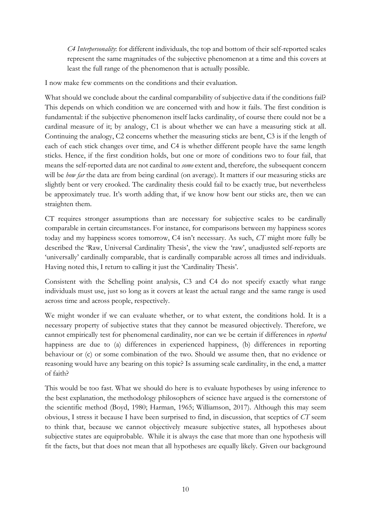*C4 Interpersonality*: for different individuals, the top and bottom of their self-reported scales represent the same magnitudes of the subjective phenomenon at a time and this covers at least the full range of the phenomenon that is actually possible.

I now make few comments on the conditions and their evaluation.

What should we conclude about the cardinal comparability of subjective data if the conditions fail? This depends on which condition we are concerned with and how it fails. The first condition is fundamental: if the subjective phenomenon itself lacks cardinality, of course there could not be a cardinal measure of it; by analogy, C1 is about whether we can have a measuring stick at all. Continuing the analogy, C2 concerns whether the measuring sticks are bent, C3 is if the length of each of each stick changes over time, and C4 is whether different people have the same length sticks. Hence, if the first condition holds, but one or more of conditions two to four fail, that means the self-reported data are not cardinal to *some* extent and, therefore, the subsequent concern will be *how far* the data are from being cardinal (on average). It matters if our measuring sticks are slightly bent or very crooked. The cardinality thesis could fail to be exactly true, but nevertheless be approximately true. It's worth adding that, if we know how bent our sticks are, then we can straighten them.

CT requires stronger assumptions than are necessary for subjective scales to be cardinally comparable in certain circumstances. For instance, for comparisons between my happiness scores today and my happiness scores tomorrow, C4 isn't necessary. As such, *CT* might more fully be described the 'Raw, Universal Cardinality Thesis', the view the 'raw', unadjusted self-reports are 'universally' cardinally comparable, that is cardinally comparable across all times and individuals. Having noted this, I return to calling it just the 'Cardinality Thesis'.

Consistent with the Schelling point analysis, C3 and C4 do not specify exactly what range individuals must use, just so long as it covers at least the actual range and the same range is used across time and across people, respectively.

We might wonder if we can evaluate whether, or to what extent, the conditions hold. It is a necessary property of subjective states that they cannot be measured objectively. Therefore, we cannot empirically test for phenomenal cardinality, nor can we be certain if differences in *reported* happiness are due to (a) differences in experienced happiness, (b) differences in reporting behaviour or (c) or some combination of the two. Should we assume then, that no evidence or reasoning would have any bearing on this topic? Is assuming scale cardinality, in the end, a matter of faith?

This would be too fast. What we should do here is to evaluate hypotheses by using inference to the best explanation, the methodology philosophers of science have argued is the cornerstone of the scientific method (Boyd, 1980; Harman, 1965; Williamson, 2017). Although this may seem obvious, I stress it because I have been surprised to find, in discussion, that sceptics of *CT* seem to think that, because we cannot objectively measure subjective states, all hypotheses about subjective states are equiprobable. While it is always the case that more than one hypothesis will fit the facts, but that does not mean that all hypotheses are equally likely. Given our background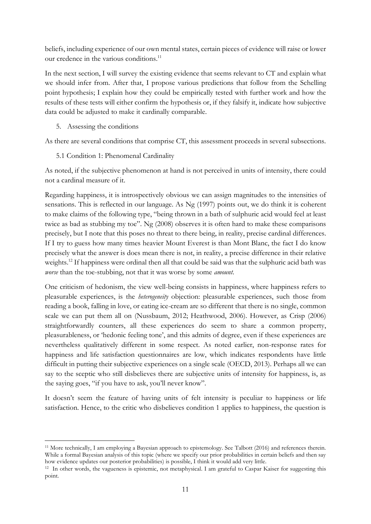beliefs, including experience of our own mental states, certain pieces of evidence will raise or lower our credence in the various conditions.<sup>11</sup>

In the next section, I will survey the existing evidence that seems relevant to CT and explain what we should infer from. After that, I propose various predictions that follow from the Schelling point hypothesis; I explain how they could be empirically tested with further work and how the results of these tests will either confirm the hypothesis or, if they falsify it, indicate how subjective data could be adjusted to make it cardinally comparable.

5. Assessing the conditions

As there are several conditions that comprise CT, this assessment proceeds in several subsections.

5.1 Condition 1: Phenomenal Cardinality

As noted, if the subjective phenomenon at hand is not perceived in units of intensity, there could not a cardinal measure of it.

Regarding happiness, it is introspectively obvious we can assign magnitudes to the intensities of sensations. This is reflected in our language. As Ng (1997) points out, we do think it is coherent to make claims of the following type, "being thrown in a bath of sulphuric acid would feel at least twice as bad as stubbing my toe". Ng (2008) observes it is often hard to make these comparisons precisely, but I note that this poses no threat to there being, in reality, precise cardinal differences. If I try to guess how many times heavier Mount Everest is than Mont Blanc, the fact I do know precisely what the answer is does mean there is not, in reality, a precise difference in their relative weights.<sup>12</sup> If happiness were ordinal then all that could be said was that the sulphuric acid bath was *worse* than the toe-stubbing, not that it was worse by some *amount*.

One criticism of hedonism, the view well-being consists in happiness, where happiness refers to pleasurable experiences, is the *heterogeneity* objection: pleasurable experiences, such those from reading a book, falling in love, or eating ice-cream are so different that there is no single, common scale we can put them all on (Nussbaum, 2012; Heathwood, 2006). However, as Crisp (2006) straightforwardly counters, all these experiences do seem to share a common property, pleasurableness, or 'hedonic feeling tone', and this admits of degree, even if these experiences are nevertheless qualitatively different in some respect. As noted earlier, non-response rates for happiness and life satisfaction questionnaires are low, which indicates respondents have little difficult in putting their subjective experiences on a single scale (OECD, 2013). Perhaps all we can say to the sceptic who still disbelieves there are subjective units of intensity for happiness, is, as the saying goes, "if you have to ask, you'll never know".

It doesn't seem the feature of having units of felt intensity is peculiar to happiness or life satisfaction. Hence, to the critic who disbelieves condition 1 applies to happiness, the question is

<sup>11</sup> More technically, I am employing a Bayesian approach to epistemology. See Talbott (2016) and references therein. While a formal Bayesian analysis of this topic (where we specify our prior probabilities in certain beliefs and then say how evidence updates our posterior probabilities) is possible, I think it would add very little.

<sup>&</sup>lt;sup>12</sup> In other words, the vagueness is epistemic, not metaphysical. I am grateful to Caspar Kaiser for suggesting this point.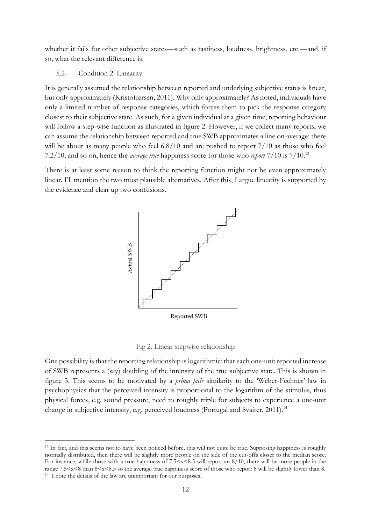whether it fails for other subjective states—such as tastiness, loudness, brightness, etc.—and, if so, what the relevant difference is.

#### 5.2 Condition 2: Linearity

It is generally assumed the relationship between reported and underlying subjective states is linear, but only approximately (Kristoffersen, 2011). Why only approximately? As noted, individuals have only a limited number of response categories, which forces them to pick the response category closest to their subjective state. As such, for a given individual at a given time, reporting behaviour will follow a step-wise function as illustrated in figure 2. However, if we collect many reports, we can assume the relationship between reported and true SWB approximates a line on average: there will be about as many people who feel  $6.8/10$  and are pushed to report  $7/10$  as those who feel 7.2/10, and so on, hence the *average true* happiness score for those who *report* 7/10 is 7/10.<sup>13</sup>

There is at least some reason to think the reporting function might not be even approximately linear. I'll mention the two most plausible alternatives. After this, I argue linearity is supported by the evidence and clear up two confusions.



Fig 2. Linear stepwise relationship

One possibility is that the reporting relationship is logarithmic: that each one-unit reported increase of SWB represents a (say) doubling of the intensity of the true subjective state. This is shown in figure 3. This seems to be motivated by a *prima facie* similarity to the 'Weber-Fechner' law in psychophysics that the perceived intensity is proportional to the logarithm of the stimulus, thus physical forces, e.g. sound pressure, need to roughly triple for subjects to experience a one-unit change in subjective intensity, e.g. perceived loudness (Portugal and Svaiter, 2011).<sup>14</sup>

<sup>&</sup>lt;sup>13</sup> In fact, and this seems not to have been noticed before, this will not quite be true. Supposing happiness is roughly normally distributed, then there will be slightly more people on the side of the cut-offs closer to the median score. For instance, while those with a true happiness of  $7.5 \le x \le 8.5$  will report an  $8/10$ , there will be more people in the range 7.5  $\times$  8.5 so the average true happiness score of those who report 8 will be slightly lower than 8. <sup>14</sup> I note the details of the law are unimportant for our purposes.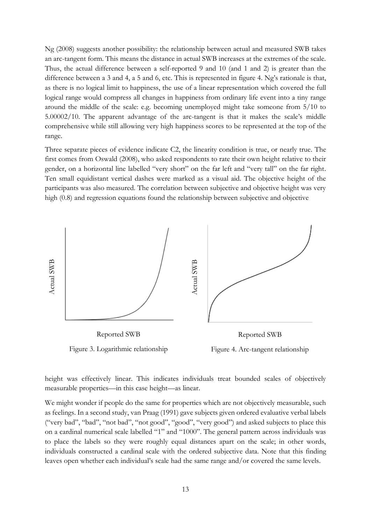Ng (2008) suggests another possibility: the relationship between actual and measured SWB takes an arc-tangent form. This means the distance in actual SWB increases at the extremes of the scale. Thus, the actual difference between a self-reported 9 and 10 (and 1 and 2) is greater than the difference between a 3 and 4, a 5 and 6, etc. This is represented in figure 4. Ng's rationale is that, as there is no logical limit to happiness, the use of a linear representation which covered the full logical range would compress all changes in happiness from ordinary life event into a tiny range around the middle of the scale: e.g. becoming unemployed might take someone from 5/10 to 5.00002/10. The apparent advantage of the arc-tangent is that it makes the scale's middle comprehensive while still allowing very high happiness scores to be represented at the top of the range.

Three separate pieces of evidence indicate C2, the linearity condition is true, or nearly true. The first comes from Oswald (2008), who asked respondents to rate their own height relative to their gender, on a horizontal line labelled "very short" on the far left and "very tall" on the far right. Ten small equidistant vertical dashes were marked as a visual aid. The objective height of the participants was also measured. The correlation between subjective and objective height was very high (0.8) and regression equations found the relationship between subjective and objective



height was effectively linear. This indicates individuals treat bounded scales of objectively measurable properties—in this case height—as linear.

We might wonder if people do the same for properties which are not objectively measurable, such as feelings. In a second study, van Praag (1991) gave subjects given ordered evaluative verbal labels ("very bad", "bad", "not bad", "not good", "good", "very good") and asked subjects to place this on a cardinal numerical scale labelled "1" and "1000". The general pattern across individuals was to place the labels so they were roughly equal distances apart on the scale; in other words, individuals constructed a cardinal scale with the ordered subjective data. Note that this finding leaves open whether each individual's scale had the same range and/or covered the same levels.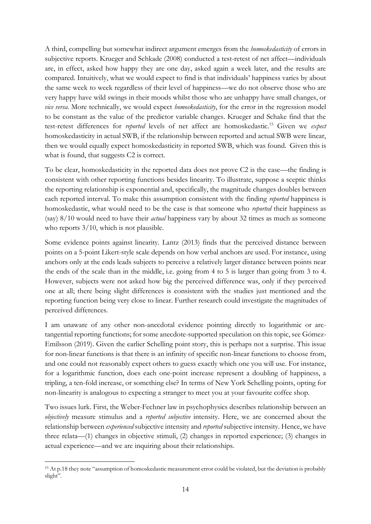A third, compelling but somewhat indirect argument emerges from the *homoskedasticity* of errors in subjective reports. Krueger and Schkade (2008) conducted a test-retest of net affect—individuals are, in effect, asked how happy they are one day, asked again a week later, and the results are compared. Intuitively, what we would expect to find is that individuals' happiness varies by about the same week to week regardless of their level of happiness—we do not observe those who are very happy have wild swings in their moods whilst those who are unhappy have small changes, or *vice versa*. More technically, we would expect *homoskedasticity*, for the error in the regression model to be constant as the value of the predictor variable changes. Krueger and Schake find that the test-retest differences for *reported* levels of net affect are homoskedastic.<sup>15</sup> Given we *expect* homoskedasticity in actual SWB, if the relationship between reported and actual SWB were linear, then we would equally expect homoskedasticity in reported SWB, which was found. Given this is what is found, that suggests C2 is correct.

To be clear, homoskedasticity in the reported data does not prove C2 is the case—the finding is consistent with other reporting functions besides linearity. To illustrate, suppose a sceptic thinks the reporting relationship is exponential and, specifically, the magnitude changes doubles between each reported interval. To make this assumption consistent with the finding *reported* happiness is homoskedastic, what would need to be the case is that someone who *reported* their happiness as (say) 8/10 would need to have their *actual* happiness vary by about 32 times as much as someone who reports  $3/10$ , which is not plausible.

Some evidence points against linearity. Lantz (2013) finds that the perceived distance between points on a 5-point Likert-style scale depends on how verbal anchors are used. For instance, using anchors only at the ends leads subjects to perceive a relatively larger distance between points near the ends of the scale than in the middle, i.e. going from 4 to 5 is larger than going from 3 to 4. However, subjects were not asked how big the perceived difference was, only if they perceived one at all; there being slight differences is consistent with the studies just mentioned and the reporting function being very close to linear. Further research could investigate the magnitudes of perceived differences.

I am unaware of any other non-anecdotal evidence pointing directly to logarithmic or arctangential reporting functions; for some anecdote-supported speculation on this topic, see Gómez-Emilsson (2019). Given the earlier Schelling point story, this is perhaps not a surprise. This issue for non-linear functions is that there is an infinity of specific non-linear functions to choose from, and one could not reasonably expect others to guess exactly which one you will use. For instance, for a logarithmic function, does each one-point increase represent a doubling of happiness, a tripling, a ten-fold increase, or something else? In terms of New York Schelling points, opting for non-linearity is analogous to expecting a stranger to meet you at your favourite coffee shop.

Two issues lurk. First, the Weber-Fechner law in psychophysics describes relationship between an *objectively* measure stimulus and a *reported subjective* intensity. Here, we are concerned about the relationship between *experienced* subjective intensity and *reported* subjective intensity. Hence, we have three relata—(1) changes in objective stimuli, (2) changes in reported experience; (3) changes in actual experience—and we are inquiring about their relationships.

<sup>&</sup>lt;sup>15</sup> At p.18 they note "assumption of homoskedastic measurement error could be violated, but the deviation is probably slight".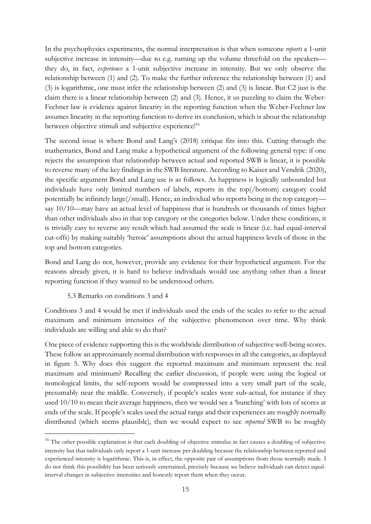In the psychophysics experiments, the normal interpretation is that when someone *reports* a 1-unit subjective increase in intensity—due to e.g. turning up the volume threefold on the speakers they do, in fact, *experience* a 1-unit subjective increase in intensity. But we only observe the relationship between (1) and (2). To make the further inference the relationship between (1) and (3) is logarithmic, one must infer the relationship between (2) and (3) is linear. But C2 just is the claim there is a linear relationship between (2) and (3). Hence, it us puzzling to claim the Weber-Fechner law is evidence against linearity in the reporting function when the Weber-Fechner law assumes linearity in the reporting function to derive its conclusion, which is about the relationship between objective stimuli and subjective experience!<sup>16</sup>

The second issue is where Bond and Lang's (2018) critique fits into this. Cutting through the mathematics, Bond and Lang make a hypothetical argument of the following general type: if one rejects the assumption that relationship between actual and reported SWB is linear, it is possible to reverse many of the key findings in the SWB literature. According to Kaiser and Vendrik (2020), the specific argument Bond and Lang use is as follows. As happiness is logically unbounded but individuals have only limited numbers of labels, reports in the top(/bottom) category could potentially be infinitely large(/small). Hence, an individual who reports being in the top category say 10/10—may have an actual level of happiness that is hundreds or thousands of times higher than other individuals also in that top category or the categories below. Under these conditions, it is trivially easy to reverse any result which had assumed the scale is linear (i.e. had equal-interval cut-offs) by making suitably 'heroic' assumptions about the actual happiness levels of those in the top and bottom categories.

Bond and Lang do not, however, provide any evidence for their hypothetical argument. For the reasons already given, it is hard to believe individuals would use anything other than a linear reporting function if they wanted to be understood others.

#### 5.3 Remarks on conditions 3 and 4

Conditions 3 and 4 would be met if individuals used the ends of the scales to refer to the actual maximum and minimum intensities of the subjective phenomenon over time. Why think individuals are willing and able to do that?

One piece of evidence supporting this is the worldwide distribution of subjective well-being scores. These follow an approximately normal distribution with responses in all the categories, as displayed in figure 5. Why does this suggest the reported maximum and minimum represent the real maximum and minimum? Recalling the earlier discussion, if people were using the logical or nomological limits, the self-reports would be compressed into a very small part of the scale, presumably near the middle. Conversely, if people's scales were sub-actual, for instance if they used 10/10 to mean their average happiness, then we would see a 'bunching' with lots of scores at ends of the scale. If people's scales used the actual range and their experiences are roughly normally distributed (which seems plausible), then we would expect to see *reported* SWB to be roughly

<sup>&</sup>lt;sup>16</sup> The other possible explanation is that each doubling of objective stimulus in fact causes a doubling of subjective intensity but that individuals only report a 1-unit increase per doubling because the relationship between reported and experienced intensity is logarithmic. This is, in effect, the opposite pair of assumptions from those normally made. I do not think this possibility has been seriously entertained, precisely because we believe individuals can detect equalinterval changes in subjective intensities and honestly report them when they occur.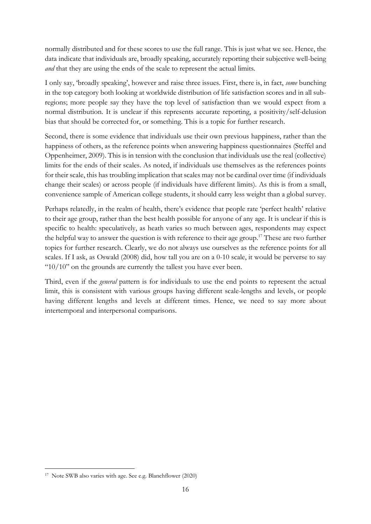normally distributed and for these scores to use the full range. This is just what we see. Hence, the data indicate that individuals are, broadly speaking, accurately reporting their subjective well-being *and* that they are using the ends of the scale to represent the actual limits.

I only say, 'broadly speaking', however and raise three issues. First, there is, in fact, *some* bunching in the top category both looking at worldwide distribution of life satisfaction scores and in all subregions; more people say they have the top level of satisfaction than we would expect from a normal distribution. It is unclear if this represents accurate reporting, a positivity/self-delusion bias that should be corrected for, or something. This is a topic for further research.

Second, there is some evidence that individuals use their own previous happiness, rather than the happiness of others, as the reference points when answering happiness questionnaires (Steffel and Oppenheimer, 2009). This is in tension with the conclusion that individuals use the real (collective) limits for the ends of their scales. As noted, if individuals use themselves as the references points for their scale, this has troubling implication that scales may not be cardinal over time (if individuals change their scales) or across people (if individuals have different limits). As this is from a small, convenience sample of American college students, it should carry less weight than a global survey.

Perhaps relatedly, in the realm of health, there's evidence that people rate 'perfect health' relative to their age group, rather than the best health possible for anyone of any age. It is unclear if this is specific to health: speculatively, as heath varies so much between ages, respondents may expect the helpful way to answer the question is with reference to their age group.<sup>17</sup> These are two further topics for further research. Clearly, we do not always use ourselves as the reference points for all scales. If I ask, as Oswald (2008) did, how tall you are on a 0-10 scale, it would be perverse to say " $10/10$ " on the grounds are currently the tallest you have ever been.

Third, even if the *general* pattern is for individuals to use the end points to represent the actual limit, this is consistent with various groups having different scale-lengths and levels, or people having different lengths and levels at different times. Hence, we need to say more about intertemporal and interpersonal comparisons.

<sup>17</sup> Note SWB also varies with age. See e.g. Blanchflower (2020)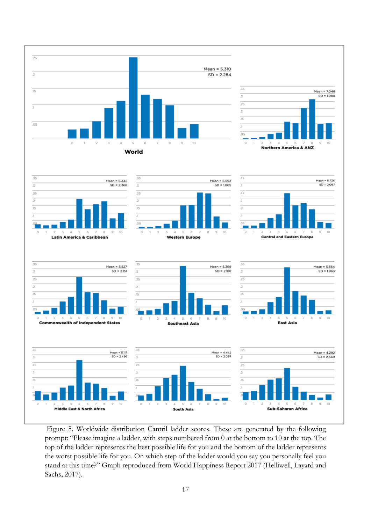

Figure 5. Worldwide distribution Cantril ladder scores. These are generated by the following prompt: "Please imagine a ladder, with steps numbered from 0 at the bottom to 10 at the top. The top of the ladder represents the best possible life for you and the bottom of the ladder represents the worst possible life for you. On which step of the ladder would you say you personally feel you stand at this time?" Graph reproduced from World Happiness Report 2017 (Helliwell, Layard and Sachs, 2017).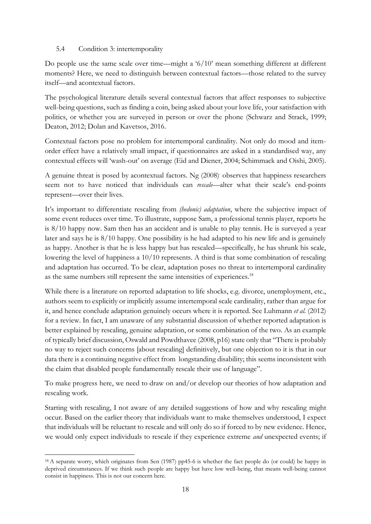### 5.4 Condition 3: intertemporality

Do people use the same scale over time—might a '6/10' mean something different at different moments? Here, we need to distinguish between contextual factors—those related to the survey itself—and acontextual factors.

The psychological literature details several contextual factors that affect responses to subjective well-being questions, such as finding a coin, being asked about your love life, your satisfaction with politics, or whether you are surveyed in person or over the phone (Schwarz and Strack, 1999; Deaton, 2012; Dolan and Kavetsos, 2016.

Contextual factors pose no problem for intertemporal cardinality. Not only do mood and itemorder effect have a relatively small impact, if questionnaires are asked in a standardised way, any contextual effects will 'wash-out' on average (Eid and Diener, 2004; Schimmack and Oishi, 2005).

A genuine threat is posed by acontextual factors. Ng (2008). observes that happiness researchers seem not to have noticed that individuals can *rescale*—alter what their scale's end-points represent—over their lives.

It's important to differentiate rescaling from *(hedonic) adaptation*, where the subjective impact of some event reduces over time. To illustrate, suppose Sam, a professional tennis player, reports he is 8/10 happy now. Sam then has an accident and is unable to play tennis. He is surveyed a year later and says he is 8/10 happy. One possibility is he had adapted to his new life and is genuinely as happy. Another is that he is less happy but has rescaled—specifically, he has shrunk his scale, lowering the level of happiness a 10/10 represents. A third is that some combination of rescaling and adaptation has occurred. To be clear, adaptation poses no threat to intertemporal cardinality as the same numbers still represent the same intensities of experiences.<sup>18</sup>

While there is a literature on reported adaptation to life shocks, e.g. divorce, unemployment, etc., authors seem to explicitly or implicitly assume intertemporal scale cardinality, rather than argue for it, and hence conclude adaptation genuinely occurs where it is reported. See Luhmann *et al.* (2012) for a review. In fact, I am unaware of any substantial discussion of whether reported adaptation is better explained by rescaling, genuine adaptation, or some combination of the two. As an example of typically brief discussion, Oswald and Powdthavee (2008, p16) state only that "There is probably no way to reject such concerns [about rescaling] definitively, but one objection to it is that in our data there is a continuing negative effect from longstanding disability; this seems inconsistent with the claim that disabled people fundamentally rescale their use of language".

To make progress here, we need to draw on and/or develop our theories of how adaptation and rescaling work.

Starting with rescaling, I not aware of any detailed suggestions of how and why rescaling might occur. Based on the earlier theory that individuals want to make themselves understood, I expect that individuals will be reluctant to rescale and will only do so if forced to by new evidence. Hence, we would only expect individuals to rescale if they experience extreme *and* unexpected events; if

<sup>&</sup>lt;sup>18</sup> A separate worry, which originates from Sen (1987) pp45-6 is whether the fact people do (or could) be happy in deprived circumstances. If we think such people are happy but have low well-being, that means well-being cannot consist in happiness. This is not our concern here.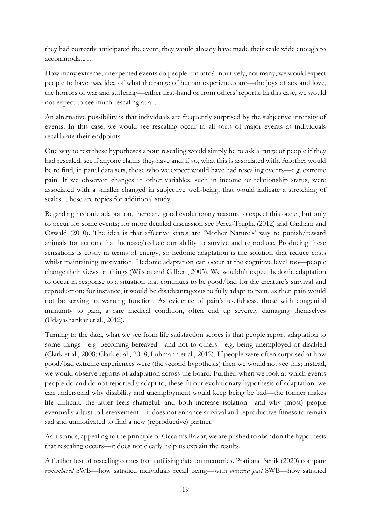they had correctly anticipated the event, they would already have made their scale wide enough to accommodate it.

How many extreme, unexpected events do people run into? Intuitively, not many; we would expect people to have *some* idea of what the range of human experiences are—the joys of sex and love, the horrors of war and suffering—either first-hand or from others' reports. In this case, we would not expect to see much rescaling at all.

An alternative possibility is that individuals are frequently surprised by the subjective intensity of events. In this case, we would see rescaling occur to all sorts of major events as individuals recalibrate their endpoints.

One way to test these hypotheses about rescaling would simply be to ask a range of people if they had rescaled, see if anyone claims they have and, if so, what this is associated with. Another would be to find, in panel data sets, those who we expect would have had rescaling events—e.g. extreme pain. If we observed changes in other variables, such in income or relationship status, were associated with a smaller changed in subjective well-being, that would indicate a stretching of scales. These are topics for additional study.

Regarding hedonic adaptation, there are good evolutionary reasons to expect this occur, but only to occur for some events; for more detailed discussion see Perez-Truglia (2012) and Graham and Oswald (2010). The idea is that affective states are 'Mother Nature's' way to punish/reward animals for actions that increase/reduce our ability to survive and reproduce. Producing these sensations is costly in terms of energy, so hedonic adaptation is the solution that reduce costs whilst maintaining motivation. Hedonic adaptation can occur at the cognitive level too—people change their views on things (Wilson and Gilbert, 2005). We wouldn't expect hedonic adaptation to occur in response to a situation that continues to be good/bad for the creature's survival and reproduction; for instance, it would be disadvantageous to fully adapt to pain, as then pain would not be serving its warning function. As evidence of pain's usefulness, those with congenital immunity to pain, a rare medical condition, often end up severely damaging themselves (Udayashankar et al., 2012).

Turning to the data, what we see from life satisfaction scores is that people report adaptation to some things—e.g. becoming bereaved—and not to others—e.g. being unemployed or disabled (Clark et al., 2008; Clark et al., 2018; Luhmann et al., 2012). If people were often surprised at how good/bad extreme experiences were (the second hypothesis) then we would not see this; instead, we would observe reports of adaptation across the board. Further, when we look at which events people do and do not reportedly adapt to, these fit our evolutionary hypothesis of adaptation: we can understand why disability and unemployment would keep being be bad—the former makes life difficult, the latter feels shameful, and both increase isolation—and why (most) people eventually adjust to bereavement—it does not enhance survival and reproductive fitness to remain sad and unmotivated to find a new (reproductive) partner.

As it stands, appealing to the principle of Occam's Razor, we are pushed to abandon the hypothesis that rescaling occurs—it does not clearly help us explain the results.

A further test of rescaling comes from utilising data on memories. Prati and Senik (2020) compare *remembered* SWB—how satisfied individuals recall being—with *observed past* SWB—how satisfied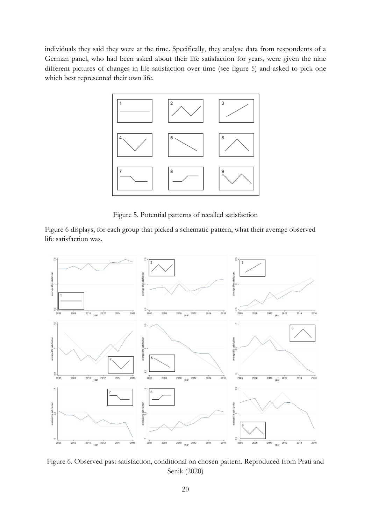individuals they said they were at the time. Specifically, they analyse data from respondents of a German panel, who had been asked about their life satisfaction for years, were given the nine different pictures of changes in life satisfaction over time (see figure 5) and asked to pick one which best represented their own life.



Figure 5. Potential patterns of recalled satisfaction

Figure 6 displays, for each group that picked a schematic pattern, what their average observed life satisfaction was.



Figure 6. Observed past satisfaction, conditional on chosen pattern. Reproduced from Prati and Senik (2020)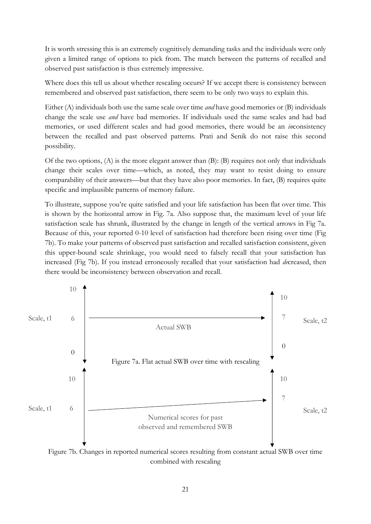It is worth stressing this is an extremely cognitively demanding tasks and the individuals were only given a limited range of options to pick from. The match between the patterns of recalled and observed past satisfaction is thus extremely impressive.

Where does this tell us about whether rescaling occurs? If we accept there is consistency between remembered and observed past satisfaction, there seem to be only two ways to explain this.

Either (A) individuals both use the same scale over time *and* have good memories or (B) individuals change the scale use *and* have bad memories. If individuals used the same scales and had bad memories, or used different scales and had good memories, there would be an *in*consistency between the recalled and past observed patterns. Prati and Senik do not raise this second possibility.

Of the two options,  $(A)$  is the more elegant answer than  $(B)$ :  $(B)$  requires not only that individuals change their scales over time—which, as noted, they may want to resist doing to ensure comparability of their answers—but that they have also poor memories. In fact, (B) requires quite specific and implausible patterns of memory failure.

To illustrate, suppose you're quite satisfied and your life satisfaction has been flat over time. This is shown by the horizontal arrow in Fig. 7a. Also suppose that, the maximum level of your life satisfaction scale has shrunk, illustrated by the change in length of the vertical arrows in Fig 7a. Because of this, your reported 0-10 level of satisfaction had therefore been rising over time (Fig 7b). To make your patterns of observed past satisfaction and recalled satisfaction consistent, given this upper-bound scale shrinkage, you would need to falsely recall that your satisfaction has increased (Fig 7b). If you instead erroneously recalled that your satisfaction had *de*creased, then there would be inconsistency between observation and recall.



Figure 7b. Changes in reported numerical scores resulting from constant actual SWB over time combined with rescaling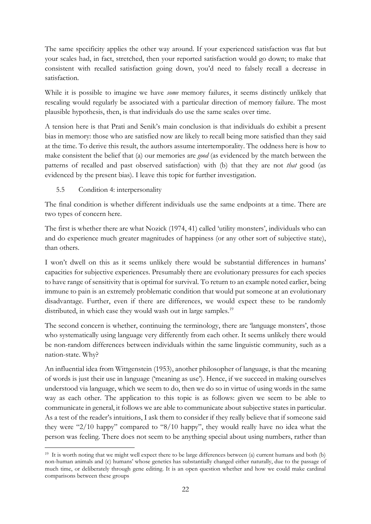The same specificity applies the other way around. If your experienced satisfaction was flat but your scales had, in fact, stretched, then your reported satisfaction would go down; to make that consistent with recalled satisfaction going down, you'd need to falsely recall a decrease in satisfaction.

While it is possible to imagine we have *some* memory failures, it seems distinctly unlikely that rescaling would regularly be associated with a particular direction of memory failure. The most plausible hypothesis, then, is that individuals do use the same scales over time.

A tension here is that Prati and Senik's main conclusion is that individuals do exhibit a present bias in memory: those who are satisfied now are likely to recall being more satisfied than they said at the time. To derive this result, the authors assume intertemporality. The oddness here is how to make consistent the belief that (a) our memories are *good* (as evidenced by the match between the patterns of recalled and past observed satisfaction) with (b) that they are not *that* good (as evidenced by the present bias). I leave this topic for further investigation.

## 5.5 Condition 4: interpersonality

The final condition is whether different individuals use the same endpoints at a time. There are two types of concern here.

The first is whether there are what Nozick (1974, 41) called 'utility monsters', individuals who can and do experience much greater magnitudes of happiness (or any other sort of subjective state), than others.

I won't dwell on this as it seems unlikely there would be substantial differences in humans' capacities for subjective experiences. Presumably there are evolutionary pressures for each species to have range of sensitivity that is optimal for survival. To return to an example noted earlier, being immune to pain is an extremely problematic condition that would put someone at an evolutionary disadvantage. Further, even if there are differences, we would expect these to be randomly distributed, in which case they would wash out in large samples.<sup>19</sup>

The second concern is whether, continuing the terminology, there are 'language monsters', those who systematically using language very differently from each other. It seems unlikely there would be non-random differences between individuals within the same linguistic community, such as a nation-state. Why?

An influential idea from Wittgenstein (1953), another philosopher of language, is that the meaning of words is just their use in language ('meaning as use'). Hence, if we succeed in making ourselves understood via language, which we seem to do, then we do so in virtue of using words in the same way as each other. The application to this topic is as follows: given we seem to be able to communicate in general, it follows we are able to communicate about subjective states in particular. As a test of the reader's intuitions, I ask them to consider if they really believe that if someone said they were "2/10 happy" compared to "8/10 happy", they would really have no idea what the person was feeling. There does not seem to be anything special about using numbers, rather than

<sup>&</sup>lt;sup>19</sup> It is worth noting that we might well expect there to be large differences between (a) current humans and both (b) non-human animals and (c) humans' whose genetics has substantially changed either naturally, due to the passage of much time, or deliberately through gene editing. It is an open question whether and how we could make cardinal comparisons between these groups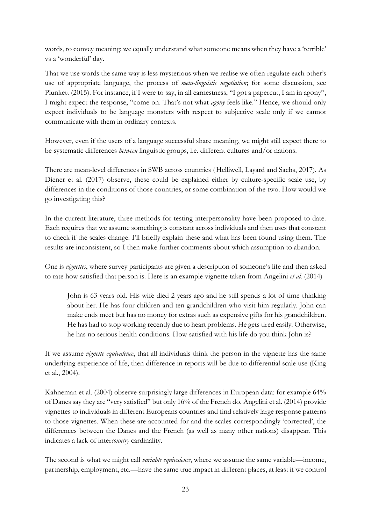words, to convey meaning: we equally understand what someone means when they have a 'terrible' vs a 'wonderful' day.

That we use words the same way is less mysterious when we realise we often regulate each other's use of appropriate language, the process of *meta-linguistic negotiation*; for some discussion, see Plunkett (2015). For instance, if I were to say, in all earnestness, "I got a papercut, I am in agony", I might expect the response, "come on. That's not what *agony* feels like." Hence, we should only expect individuals to be language monsters with respect to subjective scale only if we cannot communicate with them in ordinary contexts.

However, even if the users of a language successful share meaning, we might still expect there to be systematic differences *between* linguistic groups, i.e. different cultures and/or nations.

There are mean-level differences in SWB across countries (Helliwell, Layard and Sachs, 2017). As Diener et al. (2017) observe, these could be explained either by culture-specific scale use, by differences in the conditions of those countries, or some combination of the two. How would we go investigating this?

In the current literature, three methods for testing interpersonality have been proposed to date. Each requires that we assume something is constant across individuals and then uses that constant to check if the scales change. I'll briefly explain these and what has been found using them. The results are inconsistent, so I then make further comments about which assumption to abandon.

One is *vignettes*, where survey participants are given a description of someone's life and then asked to rate how satisfied that person is. Here is an example vignette taken from Angelini *et al.* (2014)

John is 63 years old. His wife died 2 years ago and he still spends a lot of time thinking about her. He has four children and ten grandchildren who visit him regularly. John can make ends meet but has no money for extras such as expensive gifts for his grandchildren. He has had to stop working recently due to heart problems. He gets tired easily. Otherwise, he has no serious health conditions. How satisfied with his life do you think John is?

If we assume *vignette equivalence*, that all individuals think the person in the vignette has the same underlying experience of life, then difference in reports will be due to differential scale use (King et al., 2004).

Kahneman et al. (2004) observe surprisingly large differences in European data: for example 64% of Danes say they are "very satisfied" but only 16% of the French do. Angelini et al. (2014) provide vignettes to individuals in different Europeans countries and find relatively large response patterns to those vignettes. When these are accounted for and the scales correspondingly 'corrected', the differences between the Danes and the French (as well as many other nations) disappear. This indicates a lack of inter*country* cardinality.

The second is what we might call *variable equivalence*, where we assume the same variable—income, partnership, employment, etc.—have the same true impact in different places, at least if we control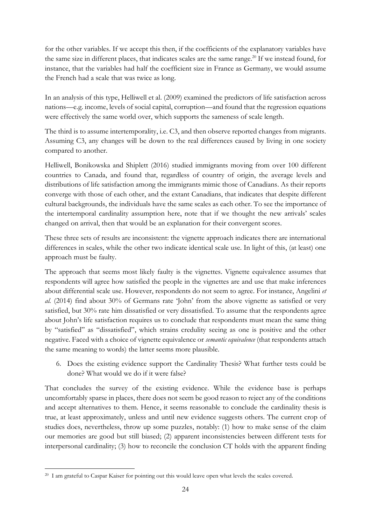for the other variables. If we accept this then, if the coefficients of the explanatory variables have the same size in different places, that indicates scales are the same range. <sup>20</sup> If we instead found, for instance, that the variables had half the coefficient size in France as Germany, we would assume the French had a scale that was twice as long.

In an analysis of this type, Helliwell et al. (2009) examined the predictors of life satisfaction across nations—e.g. income, levels of social capital, corruption—and found that the regression equations were effectively the same world over, which supports the sameness of scale length.

The third is to assume intertemporality, i.e. C3, and then observe reported changes from migrants. Assuming C3, any changes will be down to the real differences caused by living in one society compared to another.

Helliwell, Bonikowska and Shiplett (2016) studied immigrants moving from over 100 different countries to Canada, and found that, regardless of country of origin, the average levels and distributions of life satisfaction among the immigrants mimic those of Canadians. As their reports converge with those of each other, and the extant Canadians, that indicates that despite different cultural backgrounds, the individuals have the same scales as each other. To see the importance of the intertemporal cardinality assumption here, note that if we thought the new arrivals' scales changed on arrival, then that would be an explanation for their convergent scores.

These three sets of results are inconsistent: the vignette approach indicates there are international differences in scales, while the other two indicate identical scale use. In light of this, (at least) one approach must be faulty.

The approach that seems most likely faulty is the vignettes. Vignette equivalence assumes that respondents will agree how satisfied the people in the vignettes are and use that make inferences about differential scale use. However, respondents do not seem to agree. For instance, Angelini *et al.* (2014) find about 30% of Germans rate 'John' from the above vignette as satisfied or very satisfied, but 30% rate him dissatisfied or very dissatisfied. To assume that the respondents agree about John's life satisfaction requires us to conclude that respondents must mean the same thing by "satisfied" as "dissatisfied", which strains credulity seeing as one is positive and the other negative. Faced with a choice of vignette equivalence or *semantic equivalence* (that respondents attach the same meaning to words) the latter seems more plausible.

6. Does the existing evidence support the Cardinality Thesis? What further tests could be done? What would we do if it were false?

That concludes the survey of the existing evidence. While the evidence base is perhaps uncomfortably sparse in places, there does not seem be good reason to reject any of the conditions and accept alternatives to them. Hence, it seems reasonable to conclude the cardinality thesis is true, at least approximately, unless and until new evidence suggests others. The current crop of studies does, nevertheless, throw up some puzzles, notably: (1) how to make sense of the claim our memories are good but still biased; (2) apparent inconsistencies between different tests for interpersonal cardinality; (3) how to reconcile the conclusion CT holds with the apparent finding

<sup>&</sup>lt;sup>20</sup> I am grateful to Caspar Kaiser for pointing out this would leave open what levels the scales covered.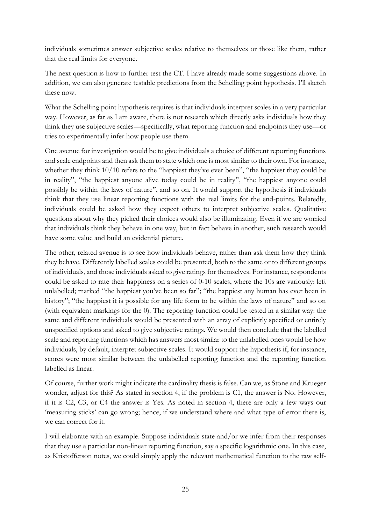individuals sometimes answer subjective scales relative to themselves or those like them, rather that the real limits for everyone.

The next question is how to further test the CT. I have already made some suggestions above. In addition, we can also generate testable predictions from the Schelling point hypothesis. I'll sketch these now.

What the Schelling point hypothesis requires is that individuals interpret scales in a very particular way. However, as far as I am aware, there is not research which directly asks individuals how they think they use subjective scales—specifically, what reporting function and endpoints they use—or tries to experimentally infer how people use them.

One avenue for investigation would be to give individuals a choice of different reporting functions and scale endpoints and then ask them to state which one is most similar to their own. For instance, whether they think 10/10 refers to the "happiest they've ever been", "the happiest they could be in reality", "the happiest anyone alive today could be in reality", "the happiest anyone could possibly be within the laws of nature", and so on. It would support the hypothesis if individuals think that they use linear reporting functions with the real limits for the end-points. Relatedly, individuals could be asked how they expect others to interpret subjective scales. Qualitative questions about why they picked their choices would also be illuminating. Even if we are worried that individuals think they behave in one way, but in fact behave in another, such research would have some value and build an evidential picture.

The other, related avenue is to see how individuals behave, rather than ask them how they think they behave. Differently labelled scales could be presented, both to the same or to different groups of individuals, and those individuals asked to give ratings for themselves. For instance, respondents could be asked to rate their happiness on a series of 0-10 scales, where the 10s are variously: left unlabelled; marked "the happiest you've been so far"; "the happiest any human has ever been in history"; "the happiest it is possible for any life form to be within the laws of nature" and so on (with equivalent markings for the 0). The reporting function could be tested in a similar way: the same and different individuals would be presented with an array of explicitly specified or entirely unspecified options and asked to give subjective ratings. We would then conclude that the labelled scale and reporting functions which has answers most similar to the unlabelled ones would be how individuals, by default, interpret subjective scales. It would support the hypothesis if, for instance, scores were most similar between the unlabelled reporting function and the reporting function labelled as linear.

Of course, further work might indicate the cardinality thesis is false. Can we, as Stone and Krueger wonder, adjust for this? As stated in section 4, if the problem is C1, the answer is No. However, if it is C2, C3, or C4 the answer is Yes. As noted in section 4, there are only a few ways our 'measuring sticks' can go wrong; hence, if we understand where and what type of error there is, we can correct for it.

I will elaborate with an example. Suppose individuals state and/or we infer from their responses that they use a particular non-linear reporting function, say a specific logarithmic one. In this case, as Kristofferson notes, we could simply apply the relevant mathematical function to the raw self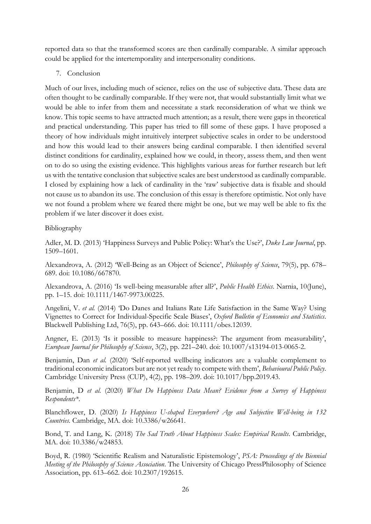reported data so that the transformed scores are then cardinally comparable. A similar approach could be applied for the intertemporality and interpersonality conditions.

7. Conclusion

Much of our lives, including much of science, relies on the use of subjective data. These data are often thought to be cardinally comparable. If they were not, that would substantially limit what we would be able to infer from them and necessitate a stark reconsideration of what we think we know. This topic seems to have attracted much attention; as a result, there were gaps in theoretical and practical understanding. This paper has tried to fill some of these gaps. I have proposed a theory of how individuals might intuitively interpret subjective scales in order to be understood and how this would lead to their answers being cardinal comparable. I then identified several distinct conditions for cardinality, explained how we could, in theory, assess them, and then went on to do so using the existing evidence. This highlights various areas for further research but left us with the tentative conclusion that subjective scales are best understood as cardinally comparable. I closed by explaining how a lack of cardinality in the 'raw' subjective data is fixable and should not cause us to abandon its use. The conclusion of this essay is therefore optimistic. Not only have we not found a problem where we feared there might be one, but we may well be able to fix the problem if we later discover it does exist.

## Bibliography

Adler, M. D. (2013) 'Happiness Surveys and Public Policy: What's the Use?', *Duke Law Journal*, pp. 1509–1601.

Alexandrova, A. (2012) 'Well-Being as an Object of Science', *Philosophy of Science*, 79(5), pp. 678– 689. doi: 10.1086/667870.

Alexandrova, A. (2016) 'Is well-being measurable after all?', *Public Health Ethics*. Narnia, 10(June), pp. 1–15. doi: 10.1111/1467-9973.00225.

Angelini, V. *et al.* (2014) 'Do Danes and Italians Rate Life Satisfaction in the Same Way? Using Vignettes to Correct for Individual-Specific Scale Biases', *Oxford Bulletin of Economics and Statistics*. Blackwell Publishing Ltd, 76(5), pp. 643–666. doi: 10.1111/obes.12039.

Angner, E. (2013) 'Is it possible to measure happiness?: The argument from measurability', *European Journal for Philosophy of Science*, 3(2), pp. 221–240. doi: 10.1007/s13194-013-0065-2.

Benjamin, Dan *et al.* (2020) 'Self-reported wellbeing indicators are a valuable complement to traditional economic indicators but are not yet ready to compete with them', *Behavioural Public Policy*. Cambridge University Press (CUP), 4(2), pp. 198–209. doi: 10.1017/bpp.2019.43.

Benjamin, D *et al.* (2020) *What Do Happiness Data Mean? Evidence from a Survey of Happiness Respondents\**.

Blanchflower, D. (2020) *Is Happiness U-shaped Everywhere? Age and Subjective Well-being in 132 Countries*. Cambridge, MA. doi: 10.3386/w26641.

Bond, T. and Lang, K. (2018) *The Sad Truth About Happiness Scales: Empirical Results*. Cambridge, MA. doi: 10.3386/w24853.

Boyd, R. (1980) 'Scientific Realism and Naturalistic Epistemology', *PSA: Proceedings of the Biennial Meeting of the Philosophy of Science Association*. The University of Chicago PressPhilosophy of Science Association, pp. 613–662. doi: 10.2307/192615.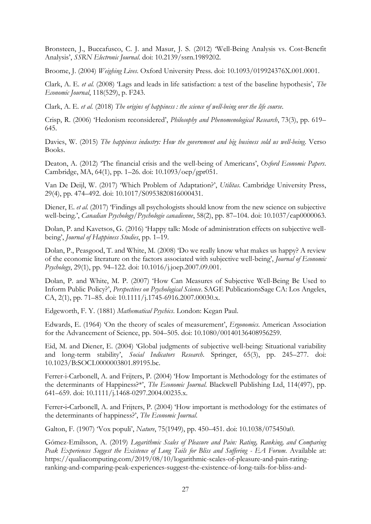Bronsteen, J., Buccafusco, C. J. and Masur, J. S. (2012) 'Well-Being Analysis vs. Cost-Benefit Analysis', *SSRN Electronic Journal*. doi: 10.2139/ssrn.1989202.

Broome, J. (2004) *Weighing Lives*. Oxford University Press. doi: 10.1093/019924376X.001.0001.

Clark, A. E. *et al.* (2008) 'Lags and leads in life satisfaction: a test of the baseline hypothesis', *The Economic Journal*, 118(529), p. F243.

Clark, A. E. *et al.* (2018) *The origins of happiness : the science of well-being over the life course*.

Crisp, R. (2006) 'Hedonism reconsidered', *Philosophy and Phenomenological Research*, 73(3), pp. 619– 645.

Davies, W. (2015) *The happiness industry: How the government and big business sold us well-being*. Verso Books.

Deaton, A. (2012) 'The financial crisis and the well-being of Americans', *Oxford Economic Papers*. Cambridge, MA, 64(1), pp. 1–26. doi: 10.1093/oep/gpr051.

Van De Deijl, W. (2017) 'Which Problem of Adaptation?', *Utilitas*. Cambridge University Press, 29(4), pp. 474–492. doi: 10.1017/S0953820816000431.

Diener, E. *et al.* (2017) 'Findings all psychologists should know from the new science on subjective well-being.', *Canadian Psychology/Psychologie canadienne*, 58(2), pp. 87–104. doi: 10.1037/cap0000063.

Dolan, P. and Kavetsos, G. (2016) 'Happy talk: Mode of administration effects on subjective wellbeing', *Journal of Happiness Studies*, pp. 1–19.

Dolan, P., Peasgood, T. and White, M. (2008) 'Do we really know what makes us happy? A review of the economic literature on the factors associated with subjective well-being', *Journal of Economic Psychology*, 29(1), pp. 94–122. doi: 10.1016/j.joep.2007.09.001.

Dolan, P. and White, M. P. (2007) 'How Can Measures of Subjective Well-Being Be Used to Inform Public Policy?', *Perspectives on Psychological Science*. SAGE PublicationsSage CA: Los Angeles, CA, 2(1), pp. 71–85. doi: 10.1111/j.1745-6916.2007.00030.x.

Edgeworth, F. Y. (1881) *Mathematical Psychics*. London: Kegan Paul.

Edwards, E. (1964) 'On the theory of scales of measurement', *Ergonomics*. American Association for the Advancement of Science, pp. 504–505. doi: 10.1080/00140136408956259.

Eid, M. and Diener, E. (2004) 'Global judgments of subjective well-being: Situational variability and long-term stability', *Social Indicators Research*. Springer, 65(3), pp. 245–277. doi: 10.1023/B:SOCI.0000003801.89195.bc.

Ferrer-i-Carbonell, A. and Frijters, P. (2004) 'How Important is Methodology for the estimates of the determinants of Happiness?\*', *The Economic Journal*. Blackwell Publishing Ltd, 114(497), pp. 641–659. doi: 10.1111/j.1468-0297.2004.00235.x.

Ferrer-i-Carbonell, A. and Frijters, P. (2004) 'How important is methodology for the estimates of the determinants of happiness?', *The Economic Journal*.

Galton, F. (1907) 'Vox populi', *Nature*, 75(1949), pp. 450–451. doi: 10.1038/075450a0.

Gómez-Emilsson, A. (2019) *Logarithmic Scales of Pleasure and Pain: Rating, Ranking, and Comparing Peak Experiences Suggest the Existence of Long Tails for Bliss and Suffering - EA Forum*. Available at: https://qualiacomputing.com/2019/08/10/logarithmic-scales-of-pleasure-and-pain-ratingranking-and-comparing-peak-experiences-suggest-the-existence-of-long-tails-for-bliss-and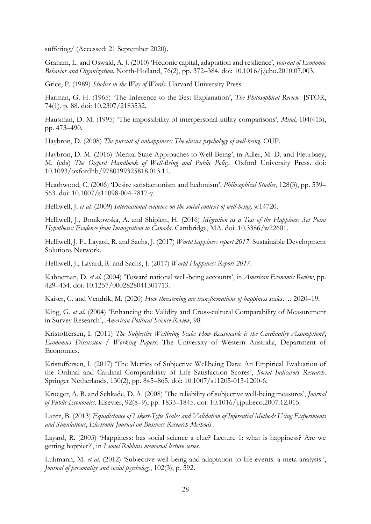suffering/ (Accessed: 21 September 2020).

Graham, L. and Oswald, A. J. (2010) 'Hedonic capital, adaptation and resilience', *Journal of Economic Behavior and Organization*. North-Holland, 76(2), pp. 372–384. doi: 10.1016/j.jebo.2010.07.003.

Grice, P. (1989) *Studies in the Way of Words*. Harvard University Press.

Harman, G. H. (1965) 'The Inference to the Best Explanation', *The Philosophical Review*. JSTOR, 74(1), p. 88. doi: 10.2307/2183532.

Hausman, D. M. (1995) 'The impossibility of interpersonal utility comparisons', *Mind*, 104(415), pp. 473–490.

Haybron, D. (2008) *The pursuit of unhappiness: The elusive psychology of well-being*. OUP.

Haybron, D. M. (2016) 'Mental State Approaches to Well-Being', in Adler, M. D. and Fleurbaey, M. (eds) *The Oxford Handbook of Well-Being and Public Policy*. Oxford University Press. doi: 10.1093/oxfordhb/9780199325818.013.11.

Heathwood, C. (2006) 'Desire satisfactionism and hedonism', *Philosophical Studies*, 128(3), pp. 539– 563. doi: 10.1007/s11098-004-7817-y.

Helliwell, J. *et al.* (2009) *International evidence on the social context of well-being*. w14720.

Helliwell, J., Bonikowska, A. and Shiplett, H. (2016) *Migration as a Test of the Happiness Set Point Hypothesis: Evidence from Immigration to Canada*. Cambridge, MA. doi: 10.3386/w22601.

Helliwell, J. F., Layard, R. and Sachs, J. (2017) *World happiness report 2017*. Sustainable Development Solutions Network.

Helliwell, J., Layard, R. and Sachs, J. (2017) *World Happiness Report 2017*.

Kahneman, D. *et al.* (2004) 'Toward national well-being accounts', in *American Economic Review*, pp. 429–434. doi: 10.1257/0002828041301713.

Kaiser, C. and Vendrik, M. (2020) *How threatening are transformations of happiness scales…*. 2020–19.

King, G. *et al.* (2004) 'Enhancing the Validity and Cross-cultural Comparability of Measurement in Survey Research', *American Political Science Review*, 98.

Kristoffersen, I. (2011) *The Subjective Wellbeing Scale: How Reasonable is the Cardinality Assumption?*, *Economics Discussion / Working Papers*. The University of Western Australia, Department of Economics.

Kristoffersen, I. (2017) 'The Metrics of Subjective Wellbeing Data: An Empirical Evaluation of the Ordinal and Cardinal Comparability of Life Satisfaction Scores', *Social Indicators Research*. Springer Netherlands, 130(2), pp. 845–865. doi: 10.1007/s11205-015-1200-6.

Krueger, A. B. and Schkade, D. A. (2008) 'The reliability of subjective well-being measures', *Journal of Public Economics*. Elsevier, 92(8–9), pp. 1833–1845. doi: 10.1016/j.jpubeco.2007.12.015.

Lantz, B. (2013) *Equidistance of Likert-Type Scales and Validation of Inferential Methods Using Experiments and Simulations*, *Electronic Journal on Business Research Methods* .

Layard, R. (2003) 'Happiness: has social science a clue? Lecture 1: what is happiness? Are we getting happier?', in *Lionel Robbins memorial lecture series*.

Luhmann, M. *et al.* (2012) 'Subjective well-being and adaptation to life events: a meta-analysis.', *Journal of personality and social psychology*, 102(3), p. 592.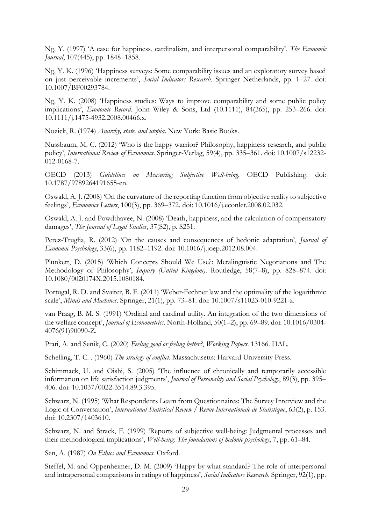Ng, Y. (1997) 'A case for happiness, cardinalism, and interpersonal comparability', *The Economic Journal*, 107(445), pp. 1848–1858.

Ng, Y. K. (1996) 'Happiness surveys: Some comparability issues and an exploratory survey based on just perceivable increments', *Social Indicators Research*. Springer Netherlands, pp. 1–27. doi: 10.1007/BF00293784.

Ng, Y. K. (2008) 'Happiness studies: Ways to improve comparability and some public policy implications', *Economic Record*. John Wiley & Sons, Ltd (10.1111), 84(265), pp. 253–266. doi: 10.1111/j.1475-4932.2008.00466.x.

Nozick, R. (1974) *Anarchy, state, and utopia*. New York: Basic Books.

Nussbaum, M. C. (2012) 'Who is the happy warrior? Philosophy, happiness research, and public policy', *International Review of Economics*. Springer-Verlag, 59(4), pp. 335–361. doi: 10.1007/s12232- 012-0168-7.

OECD (2013) *Guidelines on Measuring Subjective Well-being*. OECD Publishing. doi: 10.1787/9789264191655-en.

Oswald, A. J. (2008) 'On the curvature of the reporting function from objective reality to subjective feelings', *Economics Letters*, 100(3), pp. 369–372. doi: 10.1016/j.econlet.2008.02.032.

Oswald, A. J. and Powdthavee, N. (2008) 'Death, happiness, and the calculation of compensatory damages', *The Journal of Legal Studies*, 37(S2), p. S251.

Perez-Truglia, R. (2012) 'On the causes and consequences of hedonic adaptation', *Journal of Economic Psychology*, 33(6), pp. 1182–1192. doi: 10.1016/j.joep.2012.08.004.

Plunkett, D. (2015) 'Which Concepts Should We Use?: Metalinguistic Negotiations and The Methodology of Philosophy', *Inquiry (United Kingdom)*. Routledge, 58(7–8), pp. 828–874. doi: 10.1080/0020174X.2015.1080184.

Portugal, R. D. and Svaiter, B. F. (2011) 'Weber-Fechner law and the optimality of the logarithmic scale', *Minds and Machines*. Springer, 21(1), pp. 73–81. doi: 10.1007/s11023-010-9221-z.

van Praag, B. M. S. (1991) 'Ordinal and cardinal utility. An integration of the two dimensions of the welfare concept', *Journal of Econometrics*. North-Holland, 50(1–2), pp. 69–89. doi: 10.1016/0304- 4076(91)90090-Z.

Prati, A. and Senik, C. (2020) *Feeling good or feeling better?*, *Working Papers*. 13166. HAL.

Schelling, T. C. . (1960) *The strategy of conflict*. Massachusetts: Harvard University Press.

Schimmack, U. and Oishi, S. (2005) 'The influence of chronically and temporarily accessible information on life satisfaction judgments', *Journal of Personality and Social Psychology*, 89(3), pp. 395– 406. doi: 10.1037/0022-3514.89.3.395.

Schwarz, N. (1995) 'What Respondents Learn from Questionnaires: The Survey Interview and the Logic of Conversation', *International Statistical Review / Revue Internationale de Statistique*, 63(2), p. 153. doi: 10.2307/1403610.

Schwarz, N. and Strack, F. (1999) 'Reports of subjective well-being: Judgmental processes and their methodological implications', *Well-being: The foundations of hedonic psychology*, 7, pp. 61–84.

Sen, A. (1987) *On Ethics and Economics*. Oxford.

Steffel, M. and Oppenheimer, D. M. (2009) 'Happy by what standard? The role of interpersonal and intrapersonal comparisons in ratings of happiness', *Social Indicators Research*. Springer, 92(1), pp.